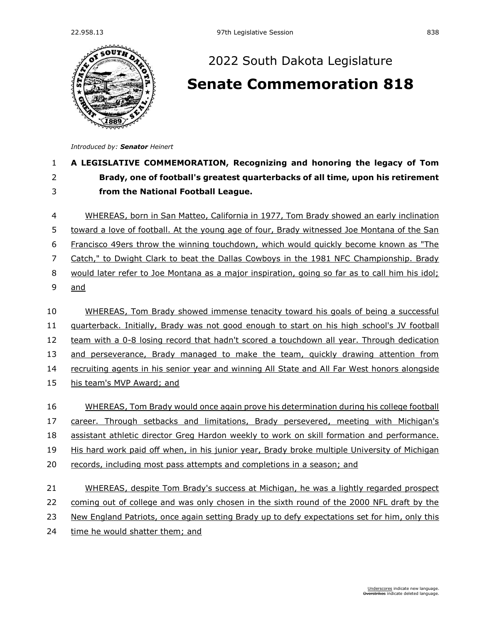

## [2022 South Dakota Legislature](https://sdlegislature.gov/Session/Bills/64) **[Senate Commemoration 818](https://sdlegislature.gov/Session/Bill/23530)**

*Introduced by: Senator [Heinert](https://sdlegislature.gov/Legislators/Profile/3949/Detail)*

## 1 **A LEGISLATIVE COMMEMORATION, Recognizing and honoring the legacy of Tom**  2 **Brady, one of football's greatest quarterbacks of all time, upon his retirement**  3 **from the National Football League.**

4 WHEREAS, born in San Matteo, California in 1977, Tom Brady showed an early inclination 5 toward a love of football. At the young age of four, Brady witnessed Joe Montana of the San 6 Francisco 49ers throw the winning touchdown, which would quickly become known as "The 7 Catch," to Dwight Clark to beat the Dallas Cowboys in the 1981 NFC Championship. Brady 8 would later refer to Joe Montana as a major inspiration, going so far as to call him his idol; 9 and 10 WHEREAS, Tom Brady showed immense tenacity toward his goals of being a successful

11 quarterback. Initially, Brady was not good enough to start on his high school's JV football 12 team with a 0-8 losing record that hadn't scored a touchdown all year. Through dedication 13 and perseverance, Brady managed to make the team, quickly drawing attention from

14 recruiting agents in his senior year and winning All State and All Far West honors alongside

15 his team's MVP Award; and

16 WHEREAS, Tom Brady would once again prove his determination during his college football

17 career. Through setbacks and limitations, Brady persevered, meeting with Michigan's

18 assistant athletic director Greg Hardon weekly to work on skill formation and performance.

19 His hard work paid off when, in his junior year, Brady broke multiple University of Michigan

20 records, including most pass attempts and completions in a season; and

## 21 WHEREAS, despite Tom Brady's success at Michigan, he was a lightly regarded prospect 22 coming out of college and was only chosen in the sixth round of the 2000 NFL draft by the 23 New England Patriots, once again setting Brady up to defy expectations set for him, only this

24 time he would shatter them; and